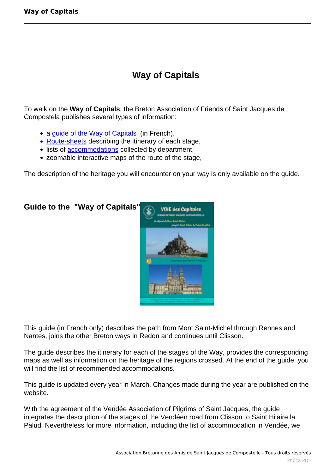## **Way of Capitals**

To walk on the **Way of Capitals**, the Breton Association of Friends of Saint Jacques de Compostela publishes several types of information:

- a guide of the Way of Capitals (in French).
- Route-sheets describing the itinerary of each stage,
- lists of **accommodations** collected by department,
- zoomable interactive maps of the route of the stage,

The description of the heritage you will encounter on your way is only available on the guide.



This guide (in French only) describes the path from Mont Saint-Michel through Rennes and Nantes, joins the other Breton ways in Redon and continues until Clisson.

The guide describes the itinerary for each of the stages of the Way, provides the corresponding maps as well as information on the heritage of the regions crossed. At the end of the guide, you will find the list of recommended accommodations.

This guide is updated every year in March. Changes made during the year are published on the website.

With the agreement of the Vendée Association of Pilgrims of Saint Jacques, the guide integrates the description of the stages of the Vendéen road from Clisson to Saint Hilaire la Palud. Nevertheless for more information, including the list of accommodation in Vendée, we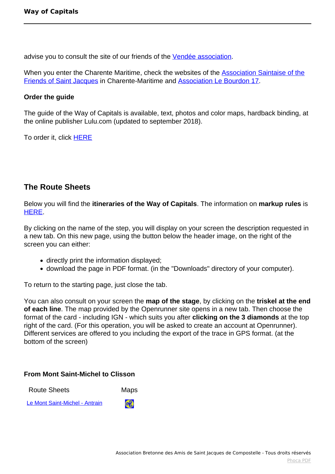advise you to consult the site of our friends of the [Vendée association](http://www.vendeecompostelle.org/blg/wp/).

When you enter the Charente Maritime, check the websites of the [Association Saintaise of the](http://compostelle17.fr/-L-association-.html) [Friends of Saint Jacques](http://compostelle17.fr/-L-association-.html) in Charente-Maritime and [Association Le Bourdon 17](http://association-le-bourdon-17.mozello.fr/).

## **Order the guide**

The guide of the Way of Capitals is available, text, photos and color maps, hardback binding, at the online publisher Lulu.com (updated to september 2018).

To order it, click **[HERE](http://www.lulu.com/shop/association-st-jacques-compostelle-bretagne/guide-de-la-voie-des-capitales/paperback/product-23796787.html)** 

## **The Route Sheets**

Below you will find the **itineraries of the Way of Capitals**. The information on **markup rules** is [HERE.](index.php?option=com_content&view=article&id=108:balisage&catid=24:chemin&lang=fr-FR)

By clicking on the name of the step, you will display on your screen the description requested in a new tab. On this new page, using the button below the header image, on the right of the screen you can either:

- directly print the information displayed;
- download the page in PDF format. (in the "Downloads" directory of your computer).

To return to the starting page, just close the tab.

You can also consult on your screen the **map of the stage**, by clicking on the **triskel at the end of each line**. The map provided by the Openrunner site opens in a new tab. Then choose the format of the card - including IGN - which suits you after **clicking on the 3 diamonds** at the top right of the card. (For this operation, you will be asked to create an account at Openrunner). Different services are offered to you including the export of the trace in GPS format. (at the bottom of the screen)

## **From Mont Saint-Michel to Clisson**

| <b>Route Sheets</b>            | <b>Maps</b> |
|--------------------------------|-------------|
| Le Mont Saint-Michel - Antrain | 68          |